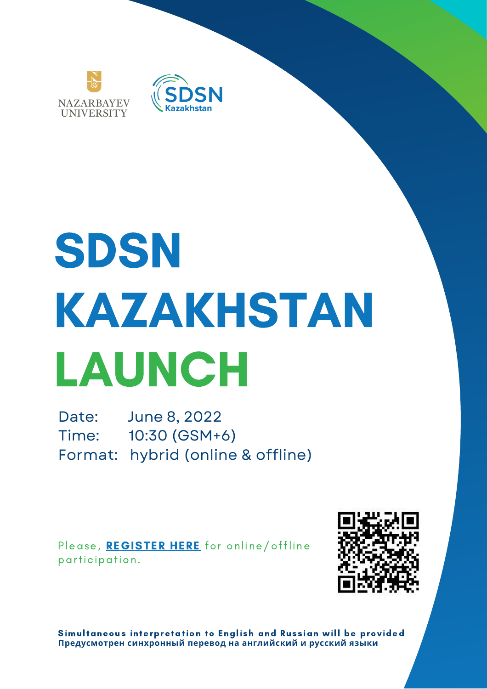



# SDSN KAZAKHSTAN LAUNCH

Date: June 8, 2022 Time: 10:30 (GSM+6) Format: hybrid (online & offline)

Please, [REGISTER](https://gspp.nu.edu.kz/en/about-sdsn/registration-form/) HERE for online/offline participation.



Simultaneous interpretation to English and Russian will be provided **Предусмотрен синхронный перевод на английский и русский языки**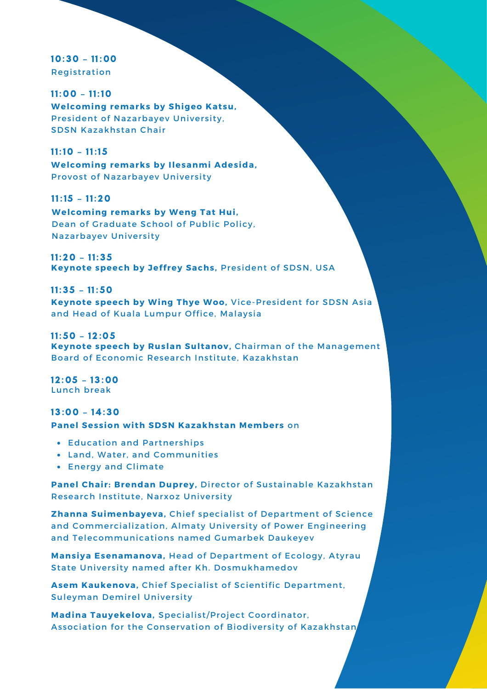10:30 – 11:00 **Registration** 

11:00 – 11:10 **Welcoming remarks by Shigeo Katsu,** President of Nazarbayev University, SDSN Kazakhstan Chair

11:10 – 11:15 **Welcoming remarks by Ilesanmi Adesida,** Provost of Nazarbayev University

**Welcoming remarks by Weng Tat Hui,** Dean of Graduate School of Public Policy, **Nazarbayev University** 11:15 – 11:20

11:20 – 11:35 **Keynote speech by Jeff rey Sachs,** President of SDSN, USA

11:35 – 11:50 **Keynote speech by Wing Thye Woo,** Vice-President for SDSN Asia and Head of Kuala Lumpur Office, Malaysia

11:50 – 12:05 **Keynote speech by Ruslan Sul tanov,** Chairman of the Management Board of Economic Research Institute, Kazakhstan

12:05 – 13:00 Lunch break

13:00 – 14:30 **Panel Session with SDSN Kazakhstan Members** on

- **Education and Partnerships**
- Land, Water, and Communities
- Energy and Climate

**Panel Chai r : Brendan Duprey,** Director of Sustainable Kazakhstan Research Institute, Narxoz University

**Zhanna Suimenbayeva, Chief specialist of Department of Science** and Commercialization, Almaty University of Power Engineering and Telecommunications named Gumarbek Daukeyev

**Mansiya Esenamanova, Head of Department of Ecology, Atyrau** State University named after Kh. Dosmukhamedov

**Asem Kaukenova, Chief Specialist of Scientific Department, Suleyman Demirel University** 

**Madina Tauyekelova, Specialist/Project Coordinator,** Association for the Conservation of Biodiversity of Kazakhstan